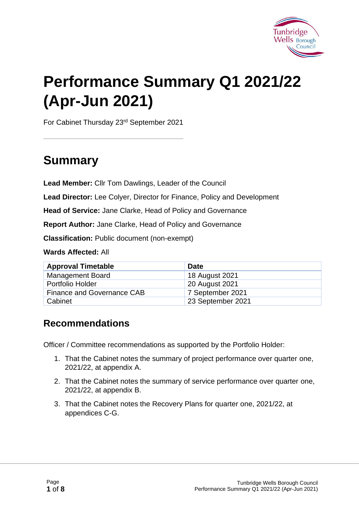

# **Performance Summary Q1 2021/22 (Apr-Jun 2021)**

For Cabinet Thursday 23rd September 2021

# **Summary**

**Lead Member:** Cllr Tom Dawlings, Leader of the Council

**Lead Director:** Lee Colyer, Director for Finance, Policy and Development

**Head of Service:** Jane Clarke, Head of Policy and Governance

**Report Author:** Jane Clarke, Head of Policy and Governance

**Classification:** Public document (non-exempt)

**Wards Affected:** All

| <b>Approval Timetable</b>  | <b>Date</b>       |
|----------------------------|-------------------|
| <b>Management Board</b>    | 18 August 2021    |
| Portfolio Holder           | 20 August 2021    |
| Finance and Governance CAB | 7 September 2021  |
| Cabinet                    | 23 September 2021 |

#### **Recommendations**

Officer / Committee recommendations as supported by the Portfolio Holder:

- 1. That the Cabinet notes the summary of project performance over quarter one, 2021/22, at appendix A.
- 2. That the Cabinet notes the summary of service performance over quarter one, 2021/22, at appendix B.
- 3. That the Cabinet notes the Recovery Plans for quarter one, 2021/22, at appendices C-G.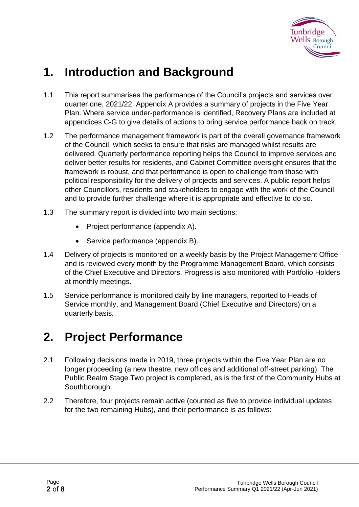

# **1. Introduction and Background**

- 1.1 This report summarises the performance of the Council's projects and services over quarter one, 2021/22. Appendix A provides a summary of projects in the Five Year Plan. Where service under-performance is identified, Recovery Plans are included at appendices C-G to give details of actions to bring service performance back on track.
- 1.2 The performance management framework is part of the overall governance framework of the Council, which seeks to ensure that risks are managed whilst results are delivered. Quarterly performance reporting helps the Council to improve services and deliver better results for residents, and Cabinet Committee oversight ensures that the framework is robust, and that performance is open to challenge from those with political responsibility for the delivery of projects and services. A public report helps other Councillors, residents and stakeholders to engage with the work of the Council, and to provide further challenge where it is appropriate and effective to do so.
- 1.3 The summary report is divided into two main sections:
	- Project performance (appendix A).
	- Service performance (appendix B).
- 1.4 Delivery of projects is monitored on a weekly basis by the Project Management Office and is reviewed every month by the Programme Management Board, which consists of the Chief Executive and Directors. Progress is also monitored with Portfolio Holders at monthly meetings.
- 1.5 Service performance is monitored daily by line managers, reported to Heads of Service monthly, and Management Board (Chief Executive and Directors) on a quarterly basis.

# **2. Project Performance**

- 2.1 Following decisions made in 2019, three projects within the Five Year Plan are no longer proceeding (a new theatre, new offices and additional off-street parking). The Public Realm Stage Two project is completed, as is the first of the Community Hubs at Southborough.
- 2.2 Therefore, four projects remain active (counted as five to provide individual updates for the two remaining Hubs), and their performance is as follows: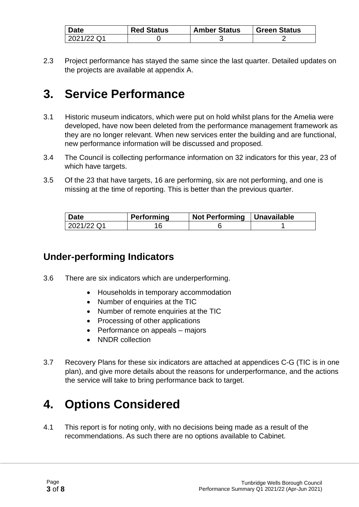| <b>Date</b> | <b>Red Status</b> | <b>Amber Status</b> | <b>Green Status</b> |
|-------------|-------------------|---------------------|---------------------|
| 2021/22 Q1  |                   |                     |                     |

2.3 Project performance has stayed the same since the last quarter. Detailed updates on the projects are available at appendix A.

# **3. Service Performance**

- 3.1 Historic museum indicators, which were put on hold whilst plans for the Amelia were developed, have now been deleted from the performance management framework as they are no longer relevant. When new services enter the building and are functional, new performance information will be discussed and proposed.
- 3.4 The Council is collecting performance information on 32 indicators for this year, 23 of which have targets.
- 3.5 Of the 23 that have targets, 16 are performing, six are not performing, and one is missing at the time of reporting. This is better than the previous quarter.

| <b>Date</b> | Performing | Not Performing   Unavailable |  |
|-------------|------------|------------------------------|--|
| 2021/22 Q1  |            |                              |  |

#### **Under-performing Indicators**

- 3.6 There are six indicators which are underperforming.
	- Households in temporary accommodation
	- Number of enquiries at the TIC
	- Number of remote enquiries at the TIC
	- Processing of other applications
	- Performance on appeals majors
	- NNDR collection
- 3.7 Recovery Plans for these six indicators are attached at appendices C-G (TIC is in one plan), and give more details about the reasons for underperformance, and the actions the service will take to bring performance back to target.

# **4. Options Considered**

4.1 This report is for noting only, with no decisions being made as a result of the recommendations. As such there are no options available to Cabinet.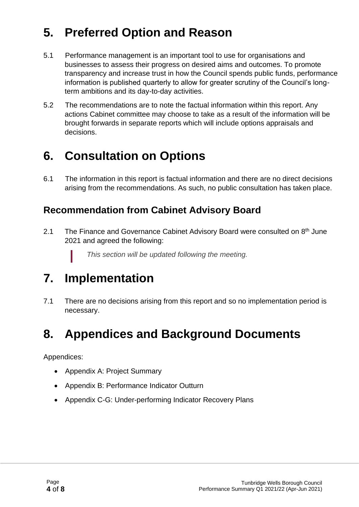# **5. Preferred Option and Reason**

- 5.1 Performance management is an important tool to use for organisations and businesses to assess their progress on desired aims and outcomes. To promote transparency and increase trust in how the Council spends public funds, performance information is published quarterly to allow for greater scrutiny of the Council's longterm ambitions and its day-to-day activities.
- 5.2 The recommendations are to note the factual information within this report. Any actions Cabinet committee may choose to take as a result of the information will be brought forwards in separate reports which will include options appraisals and decisions.

# **6. Consultation on Options**

6.1 The information in this report is factual information and there are no direct decisions arising from the recommendations. As such, no public consultation has taken place.

#### **Recommendation from Cabinet Advisory Board**

2.1 The Finance and Governance Cabinet Advisory Board were consulted on 8<sup>th</sup> June 2021 and agreed the following:

*This section will be updated following the meeting.*

# **7. Implementation**

7.1 There are no decisions arising from this report and so no implementation period is necessary.

# **8. Appendices and Background Documents**

Appendices:

- Appendix A: Project Summary
- Appendix B: Performance Indicator Outturn
- Appendix C-G: Under-performing Indicator Recovery Plans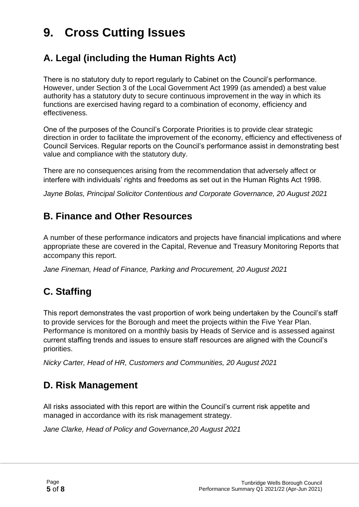# **9. Cross Cutting Issues**

#### **A. Legal (including the Human Rights Act)**

There is no statutory duty to report regularly to Cabinet on the Council's performance. However, under Section 3 of the Local Government Act 1999 (as amended) a best value authority has a statutory duty to secure continuous improvement in the way in which its functions are exercised having regard to a combination of economy, efficiency and effectiveness.

One of the purposes of the Council's Corporate Priorities is to provide clear strategic direction in order to facilitate the improvement of the economy, efficiency and effectiveness of Council Services. Regular reports on the Council's performance assist in demonstrating best value and compliance with the statutory duty.

There are no consequences arising from the recommendation that adversely affect or interfere with individuals' rights and freedoms as set out in the Human Rights Act 1998.

*Jayne Bolas, Principal Solicitor Contentious and Corporate Governance, 20 August 2021*

#### **B. Finance and Other Resources**

A number of these performance indicators and projects have financial implications and where appropriate these are covered in the Capital, Revenue and Treasury Monitoring Reports that accompany this report.

*Jane Fineman, Head of Finance, Parking and Procurement, 20 August 2021*

#### **C. Staffing**

This report demonstrates the vast proportion of work being undertaken by the Council's staff to provide services for the Borough and meet the projects within the Five Year Plan. Performance is monitored on a monthly basis by Heads of Service and is assessed against current staffing trends and issues to ensure staff resources are aligned with the Council's priorities.

*Nicky Carter, Head of HR, Customers and Communities, 20 August 2021*

#### **D. Risk Management**

All risks associated with this report are within the Council's current risk appetite and managed in accordance with its risk management strategy.

*Jane Clarke, Head of Policy and Governance,20 August 2021*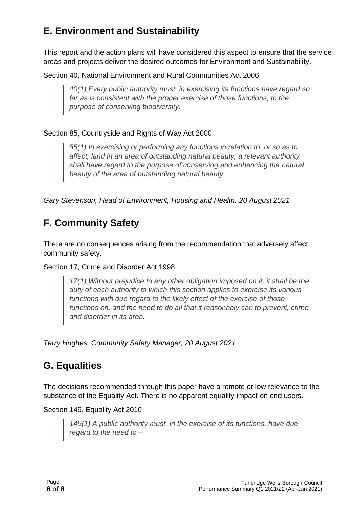## **E. Environment and Sustainability**

This report and the action plans will have considered this aspect to ensure that the service areas and projects deliver the desired outcomes for Environment and Sustainability.

Section 40, National Environment and Rural Communities Act 2006

*40(1) Every public authority must, in exercising its functions have regard so far as is consistent with the proper exercise of those functions, to the purpose of conserving biodiversity.*

#### Section 85, Countryside and Rights of Way Act 2000

*85(1) In exercising or performing any functions in relation to, or so as to affect, land in an area of outstanding natural beauty, a relevant authority shall have regard to the purpose of conserving and enhancing the natural beauty of the area of outstanding natural beauty.*

*Gary Stevenson, Head of Environment, Housing and Health, 20 August 2021*

## **F. Community Safety**

There are no consequences arising from the recommendation that adversely affect community safety.

Section 17, Crime and Disorder Act 1998

*17(1) Without prejudice to any other obligation imposed on it, it shall be the duty of each authority to which this section applies to exercise its various functions with due regard to the likely effect of the exercise of those functions on, and the need to do all that it reasonably can to prevent, crime and disorder in its area.*

*Terry Hughes, Community Safety Manager, 20 August 2021*

#### **G. Equalities**

The decisions recommended through this paper have a remote or low relevance to the substance of the Equality Act. There is no apparent equality impact on end users.

Section 149, Equality Act 2010

*149(1) A public authority must, in the exercise of its functions, have due regard to the need to –*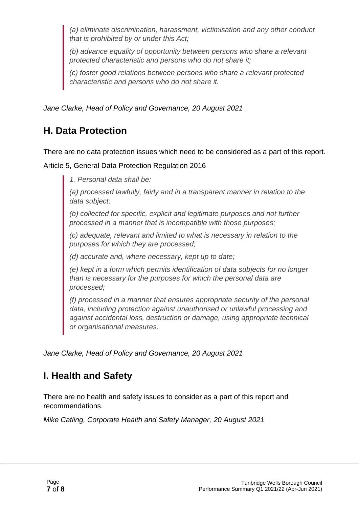*(a) eliminate discrimination, harassment, victimisation and any other conduct that is prohibited by or under this Act;*

*(b) advance equality of opportunity between persons who share a relevant protected characteristic and persons who do not share it;*

*(c) foster good relations between persons who share a relevant protected characteristic and persons who do not share it.*

*Jane Clarke, Head of Policy and Governance, 20 August 2021*

### **H. Data Protection**

There are no data protection issues which need to be considered as a part of this report.

Article 5, General Data Protection Regulation 2016

*1. Personal data shall be:*

*(a) processed lawfully, fairly and in a transparent manner in relation to the data subject;*

*(b) collected for specific, explicit and legitimate purposes and not further processed in a manner that is incompatible with those purposes;*

*(c) adequate, relevant and limited to what is necessary in relation to the purposes for which they are processed;*

*(d) accurate and, where necessary, kept up to date;*

*(e) kept in a form which permits identification of data subjects for no longer than is necessary for the purposes for which the personal data are processed;*

*(f) processed in a manner that ensures appropriate security of the personal data, including protection against unauthorised or unlawful processing and against accidental loss, destruction or damage, using appropriate technical or organisational measures.*

*Jane Clarke, Head of Policy and Governance, 20 August 2021*

### **I. Health and Safety**

There are no health and safety issues to consider as a part of this report and recommendations.

*Mike Catling, Corporate Health and Safety Manager, 20 August 2021*